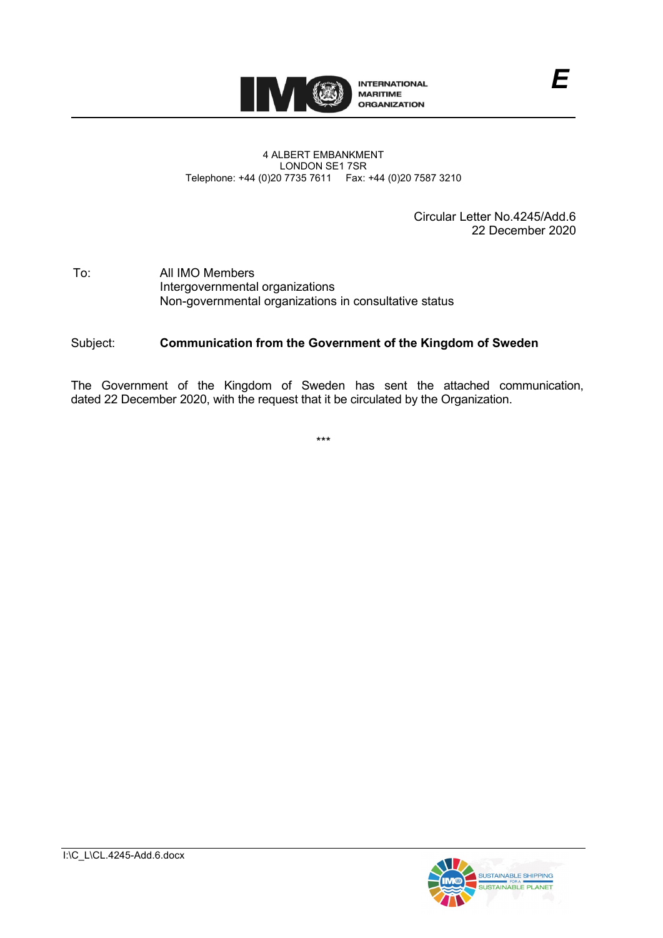

#### 4 ALBERT EMBANKMENT LONDON SE1 7SR Telephone: +44 (0)20 7735 7611 Fax: +44 (0)20 7587 3210

Circular Letter No.4245/Add.6 22 December 2020

*E*

#### To: All IMO Members Intergovernmental organizations Non-governmental organizations in consultative status

#### Subject: **Communication from the Government of the Kingdom of Sweden**

The Government of the Kingdom of Sweden has sent the attached communication, dated 22 December 2020, with the request that it be circulated by the Organization.

\*\*\*

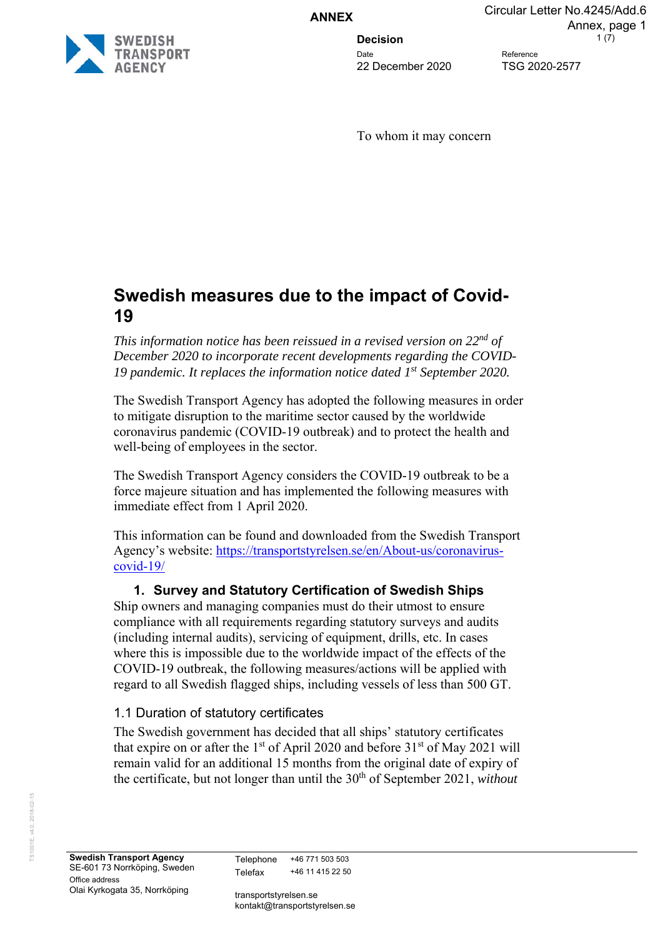**ANNEX**

Date Reference 22 December 2020 TSG 2020-2577

**Decision** 1(7) Annex, page 1

Circular Letter No.4245/Add.6

To whom it may concern

# **Swedish measures due to the impact of Covid-19**

*This information notice has been reissued in a revised version on 22nd of December 2020 to incorporate recent developments regarding the COVID-19 pandemic. It replaces the information notice dated 1st September 2020.* 

The Swedish Transport Agency has adopted the following measures in order to mitigate disruption to the maritime sector caused by the worldwide coronavirus pandemic (COVID-19 outbreak) and to protect the health and well-being of employees in the sector.

The Swedish Transport Agency considers the COVID-19 outbreak to be a force majeure situation and has implemented the following measures with immediate effect from 1 April 2020.

This information can be found and downloaded from the Swedish Transport Agency's website: https://transportstyrelsen.se/en/About-us/coronaviruscovid-19/

# **1. Survey and Statutory Certification of Swedish Ships**

Ship owners and managing companies must do their utmost to ensure compliance with all requirements regarding statutory surveys and audits (including internal audits), servicing of equipment, drills, etc. In cases where this is impossible due to the worldwide impact of the effects of the COVID-19 outbreak, the following measures/actions will be applied with regard to all Swedish flagged ships, including vessels of less than 500 GT.

# 1.1 Duration of statutory certificates

The Swedish government has decided that all ships' statutory certificates that expire on or after the  $1<sup>st</sup>$  of April 2020 and before  $31<sup>st</sup>$  of May 2021 will remain valid for an additional 15 months from the original date of expiry of the certificate, but not longer than until the 30th of September 2021, *without*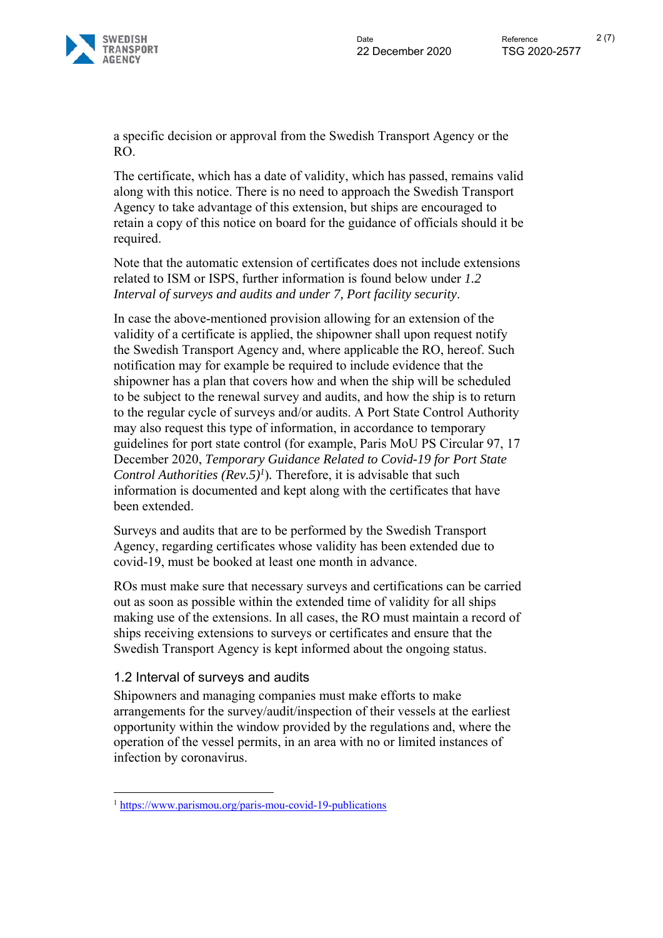

a specific decision or approval from the Swedish Transport Agency or the RO.

The certificate, which has a date of validity, which has passed, remains valid along with this notice. There is no need to approach the Swedish Transport Agency to take advantage of this extension, but ships are encouraged to retain a copy of this notice on board for the guidance of officials should it be required.

Note that the automatic extension of certificates does not include extensions related to ISM or ISPS, further information is found below under *1.2 Interval of surveys and audits and under 7, Port facility security*.

In case the above-mentioned provision allowing for an extension of the validity of a certificate is applied, the shipowner shall upon request notify the Swedish Transport Agency and, where applicable the RO, hereof. Such notification may for example be required to include evidence that the shipowner has a plan that covers how and when the ship will be scheduled to be subject to the renewal survey and audits, and how the ship is to return to the regular cycle of surveys and/or audits. A Port State Control Authority may also request this type of information, in accordance to temporary guidelines for port state control (for example, Paris MoU PS Circular 97, 17 December 2020, *Temporary Guidance Related to Covid-19 for Port State Control Authorities (Rev.5)<sup>1</sup>*). Therefore, it is advisable that such information is documented and kept along with the certificates that have been extended.

Surveys and audits that are to be performed by the Swedish Transport Agency, regarding certificates whose validity has been extended due to covid-19, must be booked at least one month in advance.

ROs must make sure that necessary surveys and certifications can be carried out as soon as possible within the extended time of validity for all ships making use of the extensions. In all cases, the RO must maintain a record of ships receiving extensions to surveys or certificates and ensure that the Swedish Transport Agency is kept informed about the ongoing status.

## 1.2 Interval of surveys and audits

1

Shipowners and managing companies must make efforts to make arrangements for the survey/audit/inspection of their vessels at the earliest opportunity within the window provided by the regulations and, where the operation of the vessel permits, in an area with no or limited instances of infection by coronavirus.

<sup>1</sup> https://www.parismou.org/paris-mou-covid-19-publications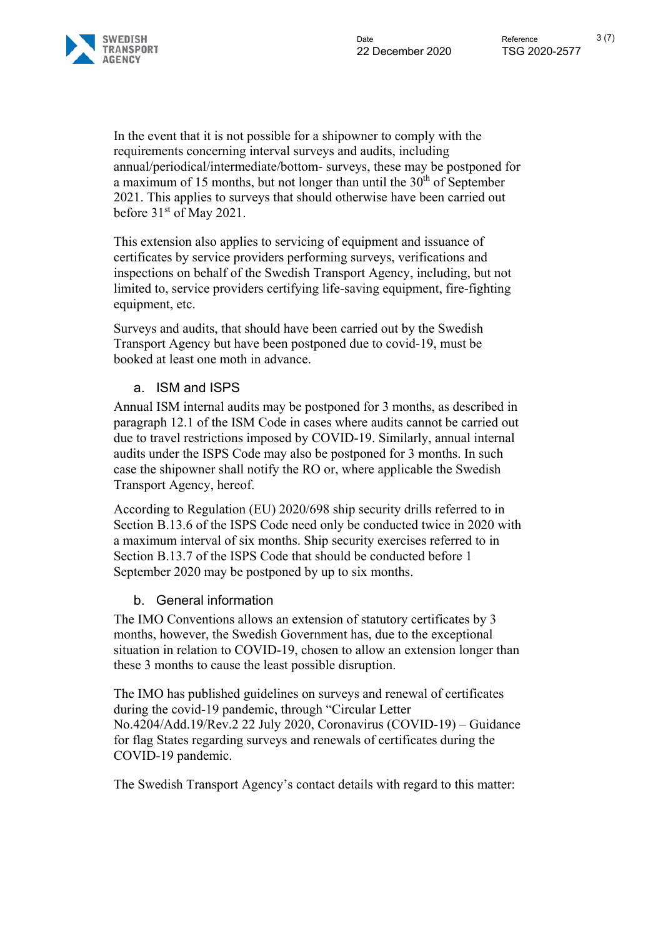In the event that it is not possible for a shipowner to comply with the requirements concerning interval surveys and audits, including annual/periodical/intermediate/bottom- surveys, these may be postponed for a maximum of 15 months, but not longer than until the  $30<sup>th</sup>$  of September 2021. This applies to surveys that should otherwise have been carried out before 31<sup>st</sup> of May 2021.

This extension also applies to servicing of equipment and issuance of certificates by service providers performing surveys, verifications and inspections on behalf of the Swedish Transport Agency, including, but not limited to, service providers certifying life-saving equipment, fire-fighting equipment, etc.

Surveys and audits, that should have been carried out by the Swedish Transport Agency but have been postponed due to covid-19, must be booked at least one moth in advance.

# a. ISM and ISPS

Annual ISM internal audits may be postponed for 3 months, as described in paragraph 12.1 of the ISM Code in cases where audits cannot be carried out due to travel restrictions imposed by COVID-19. Similarly, annual internal audits under the ISPS Code may also be postponed for 3 months. In such case the shipowner shall notify the RO or, where applicable the Swedish Transport Agency, hereof.

According to Regulation (EU) 2020/698 ship security drills referred to in Section B.13.6 of the ISPS Code need only be conducted twice in 2020 with a maximum interval of six months. Ship security exercises referred to in Section B.13.7 of the ISPS Code that should be conducted before 1 September 2020 may be postponed by up to six months.

## b. General information

The IMO Conventions allows an extension of statutory certificates by 3 months, however, the Swedish Government has, due to the exceptional situation in relation to COVID-19, chosen to allow an extension longer than these 3 months to cause the least possible disruption.

The IMO has published guidelines on surveys and renewal of certificates during the covid-19 pandemic, through "Circular Letter No.4204/Add.19/Rev.2 22 July 2020, Coronavirus (COVID-19) – Guidance for flag States regarding surveys and renewals of certificates during the COVID-19 pandemic.

The Swedish Transport Agency's contact details with regard to this matter: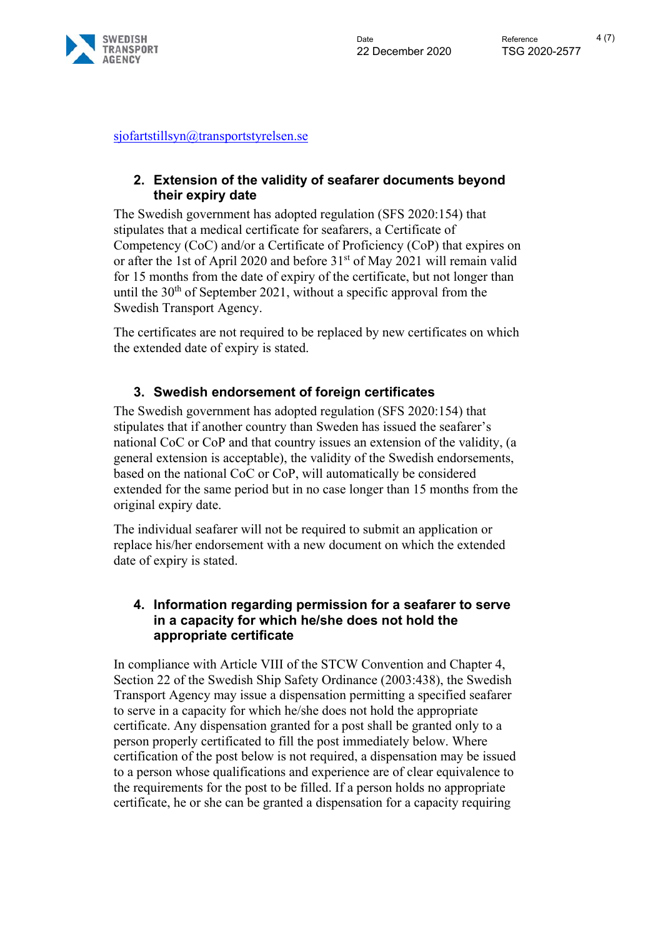

sjofartstillsyn@transportstyrelsen.se

# **2. Extension of the validity of seafarer documents beyond their expiry date**

The Swedish government has adopted regulation (SFS 2020:154) that stipulates that a medical certificate for seafarers, a Certificate of Competency (CoC) and/or a Certificate of Proficiency (CoP) that expires on or after the 1st of April 2020 and before 31<sup>st</sup> of May 2021 will remain valid for 15 months from the date of expiry of the certificate, but not longer than until the  $30<sup>th</sup>$  of September 2021, without a specific approval from the Swedish Transport Agency.

The certificates are not required to be replaced by new certificates on which the extended date of expiry is stated.

# **3. Swedish endorsement of foreign certificates**

The Swedish government has adopted regulation (SFS 2020:154) that stipulates that if another country than Sweden has issued the seafarer's national CoC or CoP and that country issues an extension of the validity, (a general extension is acceptable), the validity of the Swedish endorsements, based on the national CoC or CoP, will automatically be considered extended for the same period but in no case longer than 15 months from the original expiry date.

The individual seafarer will not be required to submit an application or replace his/her endorsement with a new document on which the extended date of expiry is stated.

## **4. Information regarding permission for a seafarer to serve in a capacity for which he/she does not hold the appropriate certificate**

In compliance with Article VIII of the STCW Convention and Chapter 4, Section 22 of the Swedish Ship Safety Ordinance (2003:438), the Swedish Transport Agency may issue a dispensation permitting a specified seafarer to serve in a capacity for which he/she does not hold the appropriate certificate. Any dispensation granted for a post shall be granted only to a person properly certificated to fill the post immediately below. Where certification of the post below is not required, a dispensation may be issued to a person whose qualifications and experience are of clear equivalence to the requirements for the post to be filled. If a person holds no appropriate certificate, he or she can be granted a dispensation for a capacity requiring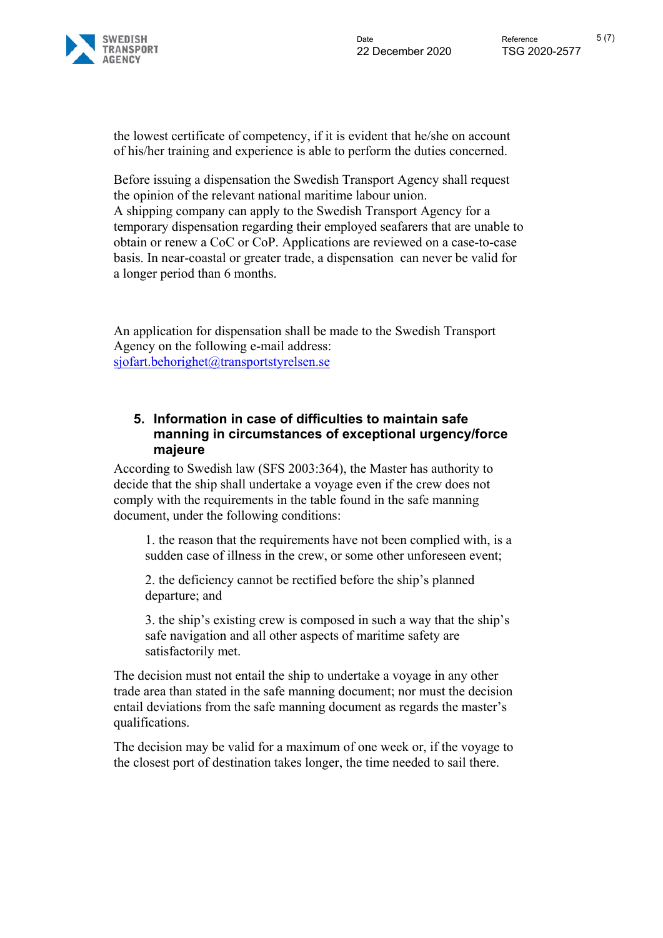

the lowest certificate of competency, if it is evident that he/she on account of his/her training and experience is able to perform the duties concerned.

Before issuing a dispensation the Swedish Transport Agency shall request the opinion of the relevant national maritime labour union. A shipping company can apply to the Swedish Transport Agency for a temporary dispensation regarding their employed seafarers that are unable to obtain or renew a CoC or CoP. Applications are reviewed on a case-to-case basis. In near-coastal or greater trade, a dispensation can never be valid for a longer period than 6 months.

An application for dispensation shall be made to the Swedish Transport Agency on the following e-mail address: sjofart.behorighet@transportstyrelsen.se

## **5. Information in case of difficulties to maintain safe manning in circumstances of exceptional urgency/force majeure**

According to Swedish law (SFS 2003:364), the Master has authority to decide that the ship shall undertake a voyage even if the crew does not comply with the requirements in the table found in the safe manning document, under the following conditions:

1. the reason that the requirements have not been complied with, is a sudden case of illness in the crew, or some other unforeseen event;

2. the deficiency cannot be rectified before the ship's planned departure; and

3. the ship's existing crew is composed in such a way that the ship's safe navigation and all other aspects of maritime safety are satisfactorily met.

The decision must not entail the ship to undertake a voyage in any other trade area than stated in the safe manning document; nor must the decision entail deviations from the safe manning document as regards the master's qualifications.

The decision may be valid for a maximum of one week or, if the voyage to the closest port of destination takes longer, the time needed to sail there.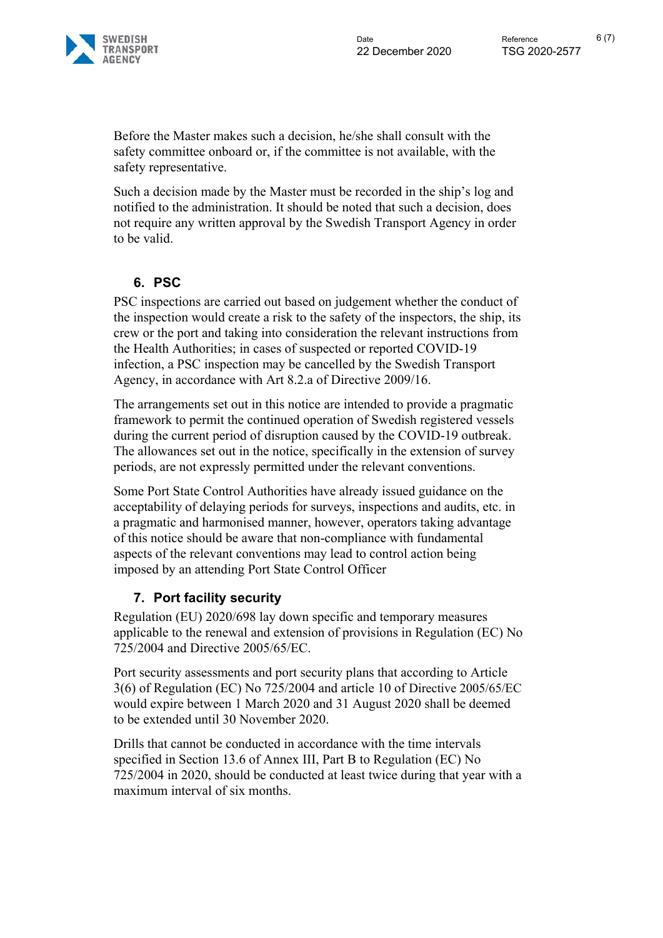

Before the Master makes such a decision, he/she shall consult with the safety committee onboard or, if the committee is not available, with the safety representative.

Such a decision made by the Master must be recorded in the ship's log and notified to the administration. It should be noted that such a decision, does not require any written approval by the Swedish Transport Agency in order to be valid.

# **6. PSC**

PSC inspections are carried out based on judgement whether the conduct of the inspection would create a risk to the safety of the inspectors, the ship, its crew or the port and taking into consideration the relevant instructions from the Health Authorities; in cases of suspected or reported COVID-19 infection, a PSC inspection may be cancelled by the Swedish Transport Agency, in accordance with Art 8.2.a of Directive 2009/16.

The arrangements set out in this notice are intended to provide a pragmatic framework to permit the continued operation of Swedish registered vessels during the current period of disruption caused by the COVID-19 outbreak. The allowances set out in the notice, specifically in the extension of survey periods, are not expressly permitted under the relevant conventions.

Some Port State Control Authorities have already issued guidance on the acceptability of delaying periods for surveys, inspections and audits, etc. in a pragmatic and harmonised manner, however, operators taking advantage of this notice should be aware that non-compliance with fundamental aspects of the relevant conventions may lead to control action being imposed by an attending Port State Control Officer

# **7. Port facility security**

Regulation (EU) 2020/698 lay down specific and temporary measures applicable to the renewal and extension of provisions in Regulation (EC) No 725/2004 and Directive 2005/65/EC.

Port security assessments and port security plans that according to Article 3(6) of Regulation (EC) No 725/2004 and article 10 of Directive 2005/65/EC would expire between 1 March 2020 and 31 August 2020 shall be deemed to be extended until 30 November 2020.

Drills that cannot be conducted in accordance with the time intervals specified in Section 13.6 of Annex III, Part B to Regulation (EC) No 725/2004 in 2020, should be conducted at least twice during that year with a maximum interval of six months.